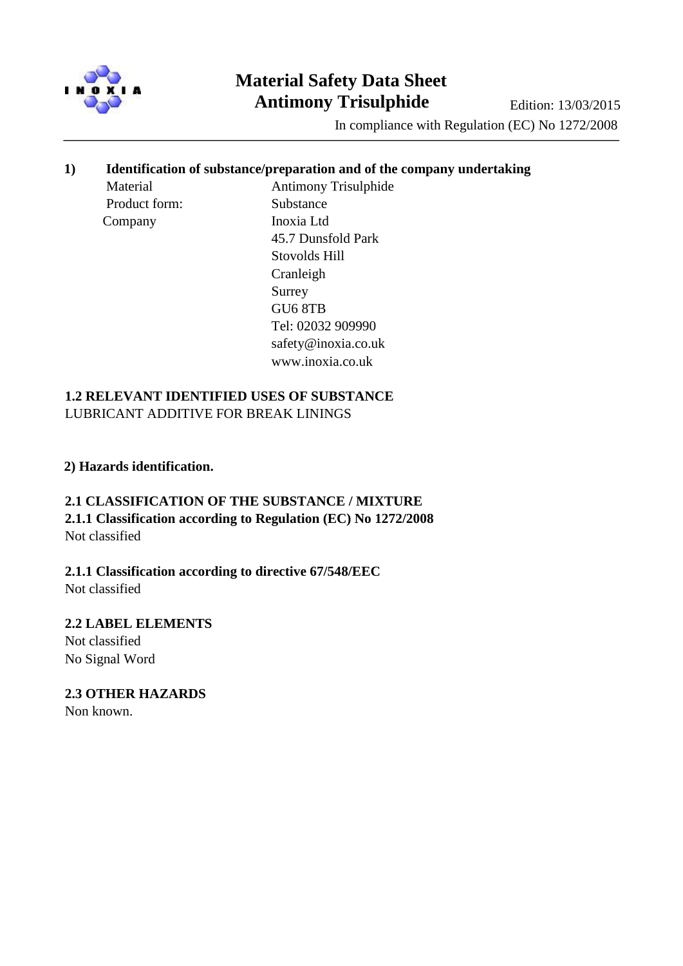

# **Material Safety Data Sheet Antimony Trisulphide** Edition: 13/03/2015

In compliance with Regulation (EC) No 1272/2008

In compliance with Regulation (EC)1907/2006

#### **1) Identification of substance/preparation and of the company undertaking**

Product form: Substance Company Inoxia Ltd

Material Antimony Trisulphide 45.7 Dunsfold Park Stovolds Hill Cranleigh Surrey GU6 8TB Tel: 02032 909990 safety@inoxia.co.uk www.inoxia.co.uk

#### **1.2 RELEVANT IDENTIFIED USES OF SUBSTANCE** LUBRICANT ADDITIVE FOR BREAK LININGS

#### **2) Hazards identification.**

#### **2.1 CLASSIFICATION OF THE SUBSTANCE / MIXTURE 2.1.1 Classification according to Regulation (EC) No 1272/2008** Not classified

**2.1.1 Classification according to directive 67/548/EEC** Not classified

# **2.2 LABEL ELEMENTS** Not classified

No Signal Word

#### **2.3 OTHER HAZARDS** Non known.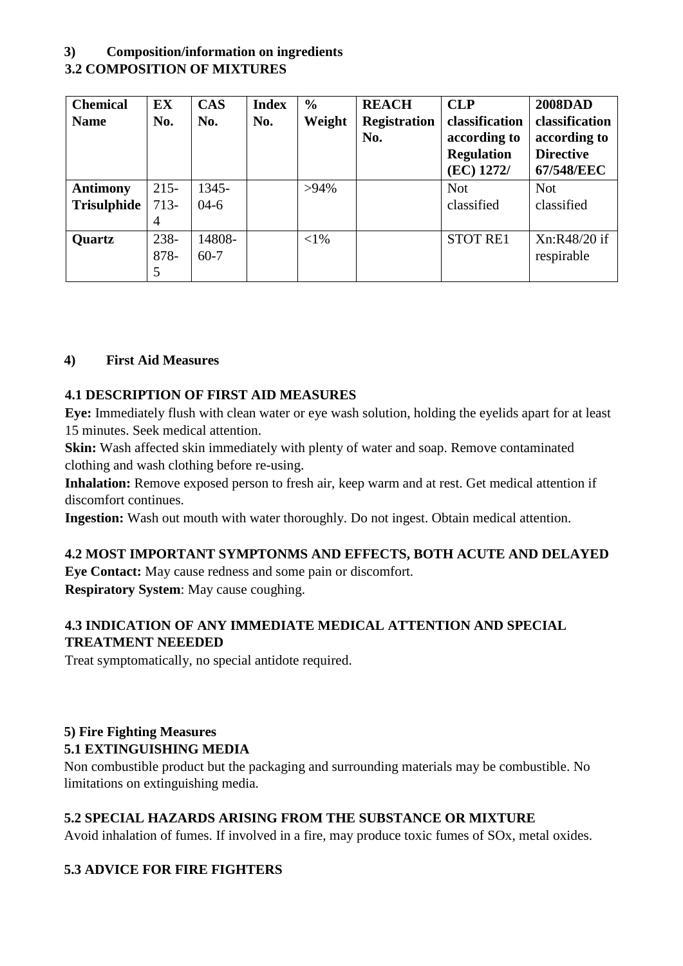## **3) Composition/information on ingredients 3.2 COMPOSITION OF MIXTURES**

| <b>Chemical</b>    | EX             | <b>CAS</b> | <b>Index</b> | $\frac{6}{6}$ | <b>REACH</b>        | <b>CLP</b>        | <b>2008DAD</b>   |
|--------------------|----------------|------------|--------------|---------------|---------------------|-------------------|------------------|
| <b>Name</b>        | No.            | No.        | No.          | Weight        | <b>Registration</b> | classification    | classification   |
|                    |                |            |              |               | No.                 | according to      | according to     |
|                    |                |            |              |               |                     | <b>Regulation</b> | <b>Directive</b> |
|                    |                |            |              |               |                     | (EC) 1272/        | 67/548/EEC       |
| <b>Antimony</b>    | $215 -$        | 1345-      |              | $>94\%$       |                     | <b>Not</b>        | <b>Not</b>       |
| <b>Trisulphide</b> | $713-$         | $04-6$     |              |               |                     | classified        | classified       |
|                    | $\overline{4}$ |            |              |               |                     |                   |                  |
| <b>Quartz</b>      | 238-           | 14808-     |              | $< 1\%$       |                     | <b>STOT RE1</b>   | Xn:R48/20 if     |
|                    | 878-           | $60 - 7$   |              |               |                     |                   | respirable       |
|                    | 5              |            |              |               |                     |                   |                  |

#### **4) First Aid Measures**

#### **4.1 DESCRIPTION OF FIRST AID MEASURES**

**Eye:** Immediately flush with clean water or eye wash solution, holding the eyelids apart for at least 15 minutes. Seek medical attention.

**Skin:** Wash affected skin immediately with plenty of water and soap. Remove contaminated clothing and wash clothing before re-using.

**Inhalation:** Remove exposed person to fresh air, keep warm and at rest. Get medical attention if discomfort continues.

**Ingestion:** Wash out mouth with water thoroughly. Do not ingest. Obtain medical attention.

## **4.2 MOST IMPORTANT SYMPTONMS AND EFFECTS, BOTH ACUTE AND DELAYED**

**Eye Contact:** May cause redness and some pain or discomfort. **Respiratory System**: May cause coughing.

## **4.3 INDICATION OF ANY IMMEDIATE MEDICAL ATTENTION AND SPECIAL TREATMENT NEEEDED**

Treat symptomatically, no special antidote required.

#### **5) Fire Fighting Measures 5.1 EXTINGUISHING MEDIA**

Non combustible product but the packaging and surrounding materials may be combustible. No limitations on extinguishing media.

## **5.2 SPECIAL HAZARDS ARISING FROM THE SUBSTANCE OR MIXTURE**

Avoid inhalation of fumes. If involved in a fire, may produce toxic fumes of SOx, metal oxides.

## **5.3 ADVICE FOR FIRE FIGHTERS**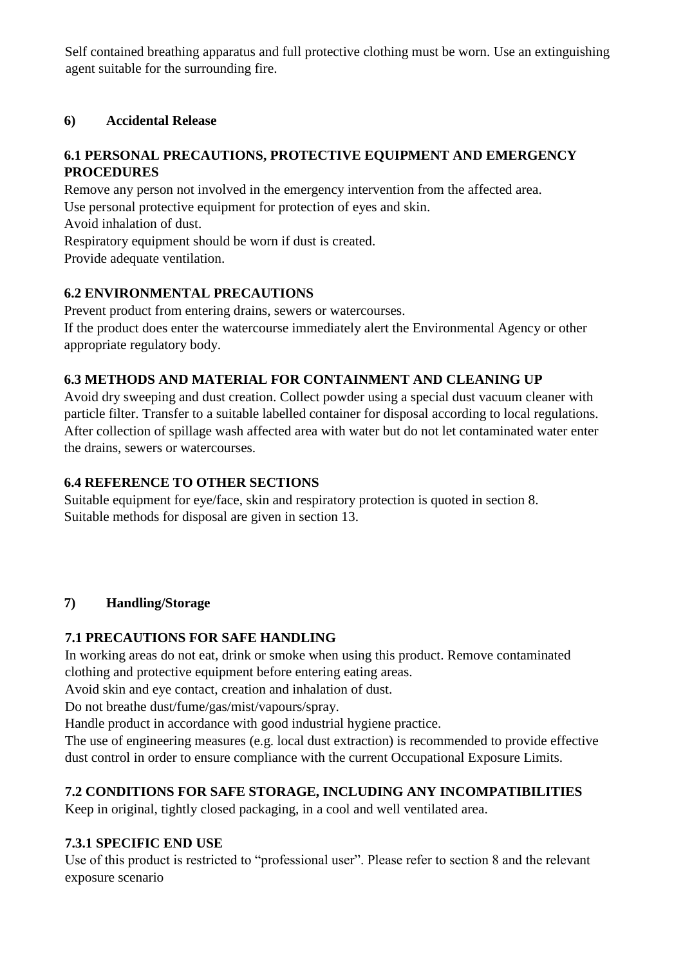Self contained breathing apparatus and full protective clothing must be worn. Use an extinguishing agent suitable for the surrounding fire.

## **6) Accidental Release**

## **6.1 PERSONAL PRECAUTIONS, PROTECTIVE EQUIPMENT AND EMERGENCY PROCEDURES**

Remove any person not involved in the emergency intervention from the affected area.

Use personal protective equipment for protection of eyes and skin.

Avoid inhalation of dust.

Respiratory equipment should be worn if dust is created.

Provide adequate ventilation.

## **6.2 ENVIRONMENTAL PRECAUTIONS**

Prevent product from entering drains, sewers or watercourses. If the product does enter the watercourse immediately alert the Environmental Agency or other appropriate regulatory body.

## **6.3 METHODS AND MATERIAL FOR CONTAINMENT AND CLEANING UP**

Avoid dry sweeping and dust creation. Collect powder using a special dust vacuum cleaner with particle filter. Transfer to a suitable labelled container for disposal according to local regulations. After collection of spillage wash affected area with water but do not let contaminated water enter the drains, sewers or watercourses.

## **6.4 REFERENCE TO OTHER SECTIONS**

Suitable equipment for eye/face, skin and respiratory protection is quoted in section 8. Suitable methods for disposal are given in section 13.

## **7) Handling/Storage**

## **7.1 PRECAUTIONS FOR SAFE HANDLING**

In working areas do not eat, drink or smoke when using this product. Remove contaminated clothing and protective equipment before entering eating areas.

Avoid skin and eye contact, creation and inhalation of dust.

Do not breathe dust/fume/gas/mist/vapours/spray.

Handle product in accordance with good industrial hygiene practice.

The use of engineering measures (e.g. local dust extraction) is recommended to provide effective dust control in order to ensure compliance with the current Occupational Exposure Limits.

## **7.2 CONDITIONS FOR SAFE STORAGE, INCLUDING ANY INCOMPATIBILITIES**

Keep in original, tightly closed packaging, in a cool and well ventilated area.

## **7.3.1 SPECIFIC END USE**

Use of this product is restricted to "professional user". Please refer to section 8 and the relevant exposure scenario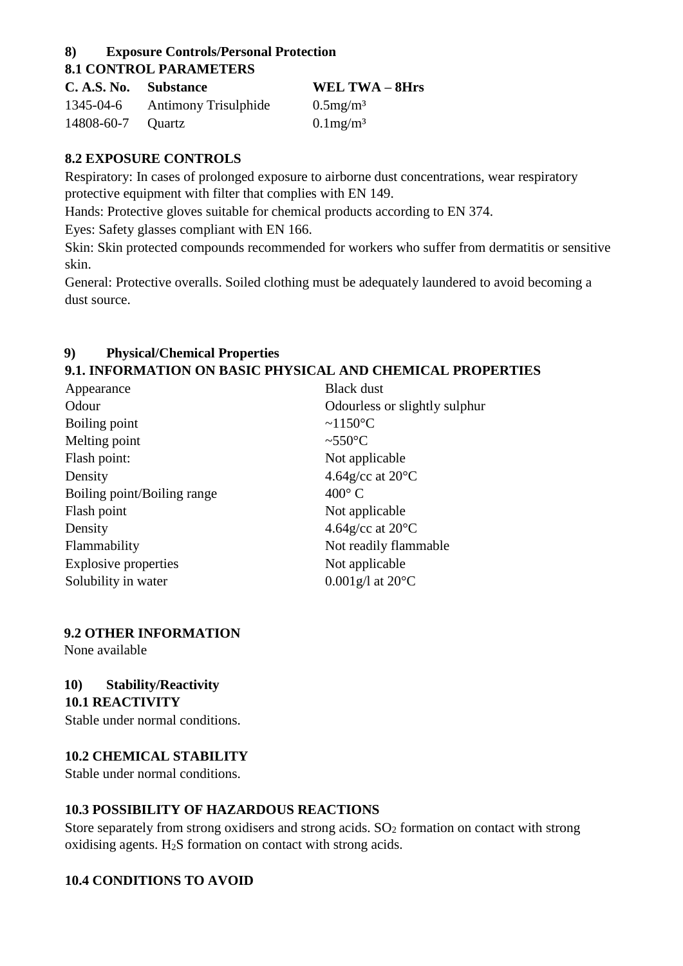## **8) Exposure Controls/Personal Protection**

## **8.1 CONTROL PARAMETERS**

| C. A.S. No. Substance |                             | <b>WEL TWA - 8Hrs</b>   |
|-----------------------|-----------------------------|-------------------------|
| 1345-04-6             | <b>Antimony Trisulphide</b> | $0.5$ mg/m <sup>3</sup> |
| 14808-60-7 Quartz     |                             | $0.1$ mg/m <sup>3</sup> |

## **8.2 EXPOSURE CONTROLS**

Respiratory: In cases of prolonged exposure to airborne dust concentrations, wear respiratory protective equipment with filter that complies with EN 149.

Hands: Protective gloves suitable for chemical products according to EN 374.

Eyes: Safety glasses compliant with EN 166.

Skin: Skin protected compounds recommended for workers who suffer from dermatitis or sensitive skin.

General: Protective overalls. Soiled clothing must be adequately laundered to avoid becoming a dust source.

## **9) Physical/Chemical Properties 9.1. INFORMATION ON BASIC PHYSICAL AND CHEMICAL PROPERTIES**

| Appearance                  | <b>Black</b> dust             |
|-----------------------------|-------------------------------|
| Odour                       | Odourless or slightly sulphur |
| Boiling point               | ~ $1150^{\circ}$ C            |
| Melting point               | $\sim 550$ °C                 |
| Flash point:                | Not applicable                |
| Density                     | 4.64g/cc at $20^{\circ}$ C    |
| Boiling point/Boiling range | $400^{\circ}$ C               |
| Flash point                 | Not applicable                |
| Density                     | 4.64g/cc at $20^{\circ}$ C    |
| Flammability                | Not readily flammable         |
| <b>Explosive properties</b> | Not applicable                |
| Solubility in water         | $0.001$ g/l at $20^{\circ}$ C |
|                             |                               |

## **9.2 OTHER INFORMATION**

None available

# **10) Stability/Reactivity**

**10.1 REACTIVITY**

Stable under normal conditions.

## **10.2 CHEMICAL STABILITY**

Stable under normal conditions.

## **10.3 POSSIBILITY OF HAZARDOUS REACTIONS**

Store separately from strong oxidisers and strong acids.  $SO<sub>2</sub>$  formation on contact with strong oxidising agents. H2S formation on contact with strong acids.

## **10.4 CONDITIONS TO AVOID**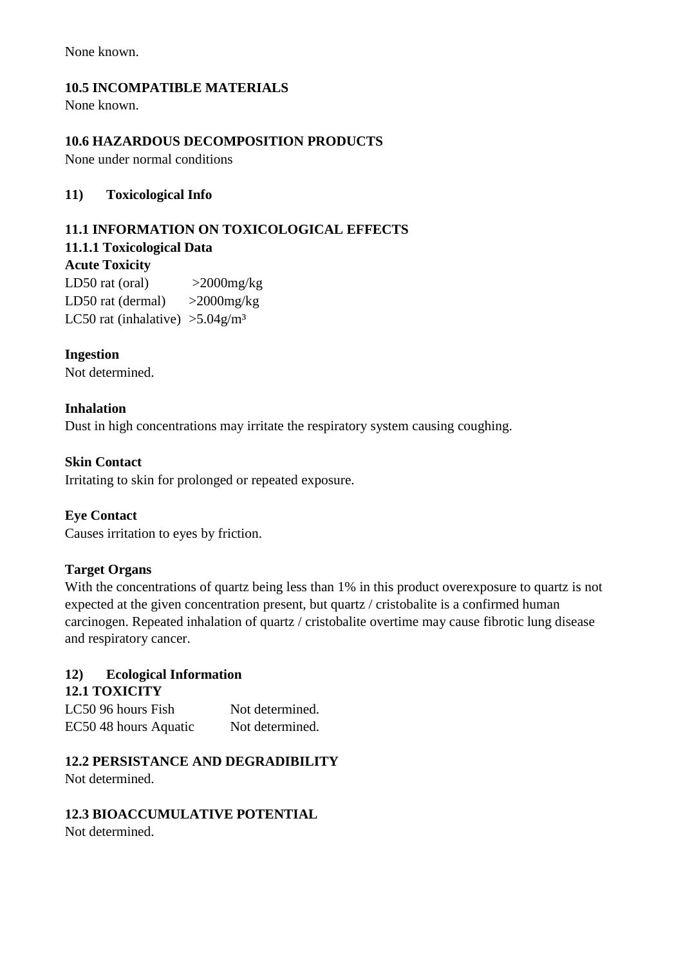None known.

#### **10.5 INCOMPATIBLE MATERIALS**

None known.

#### **10.6 HAZARDOUS DECOMPOSITION PRODUCTS**

None under normal conditions

#### **11) Toxicological Info**

## **11.1 INFORMATION ON TOXICOLOGICAL EFFECTS**

#### **11.1.1 Toxicological Data**

#### **Acute Toxicity**

LD50 rat (oral)  $>2000$ mg/kg LD50 rat (dermal)  $>2000$ mg/kg LC50 rat (inhalative)  $>5.04$ g/m<sup>3</sup>

#### **Ingestion**

Not determined.

#### **Inhalation**

Dust in high concentrations may irritate the respiratory system causing coughing.

#### **Skin Contact**

Irritating to skin for prolonged or repeated exposure.

#### **Eye Contact**

Causes irritation to eyes by friction.

#### **Target Organs**

With the concentrations of quartz being less than 1% in this product overexposure to quartz is not expected at the given concentration present, but quartz / cristobalite is a confirmed human carcinogen. Repeated inhalation of quartz / cristobalite overtime may cause fibrotic lung disease and respiratory cancer.

# **12) Ecological Information**

#### **12.1 TOXICITY**

LC50 96 hours Fish Not determined. EC50 48 hours Aquatic Not determined.

## **12.2 PERSISTANCE AND DEGRADIBILITY**

Not determined.

## **12.3 BIOACCUMULATIVE POTENTIAL**

Not determined.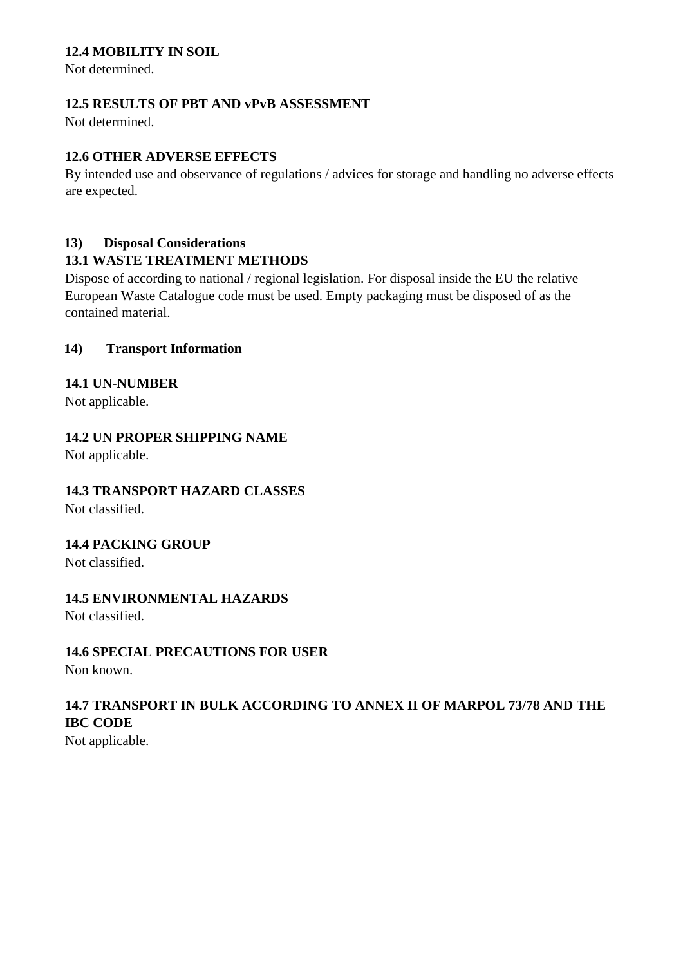## **12.4 MOBILITY IN SOIL**

Not determined.

#### **12.5 RESULTS OF PBT AND vPvB ASSESSMENT**

Not determined.

## **12.6 OTHER ADVERSE EFFECTS**

By intended use and observance of regulations / advices for storage and handling no adverse effects are expected.

#### **13) Disposal Considerations**

#### **13.1 WASTE TREATMENT METHODS**

Dispose of according to national / regional legislation. For disposal inside the EU the relative European Waste Catalogue code must be used. Empty packaging must be disposed of as the contained material.

#### **14) Transport Information**

#### **14.1 UN-NUMBER**

Not applicable.

#### **14.2 UN PROPER SHIPPING NAME**

Not applicable.

## **14.3 TRANSPORT HAZARD CLASSES**

Not classified.

#### **14.4 PACKING GROUP**

Not classified.

## **14.5 ENVIRONMENTAL HAZARDS**

Not classified.

## **14.6 SPECIAL PRECAUTIONS FOR USER**

Non known.

## **14.7 TRANSPORT IN BULK ACCORDING TO ANNEX II OF MARPOL 73/78 AND THE IBC CODE**

Not applicable.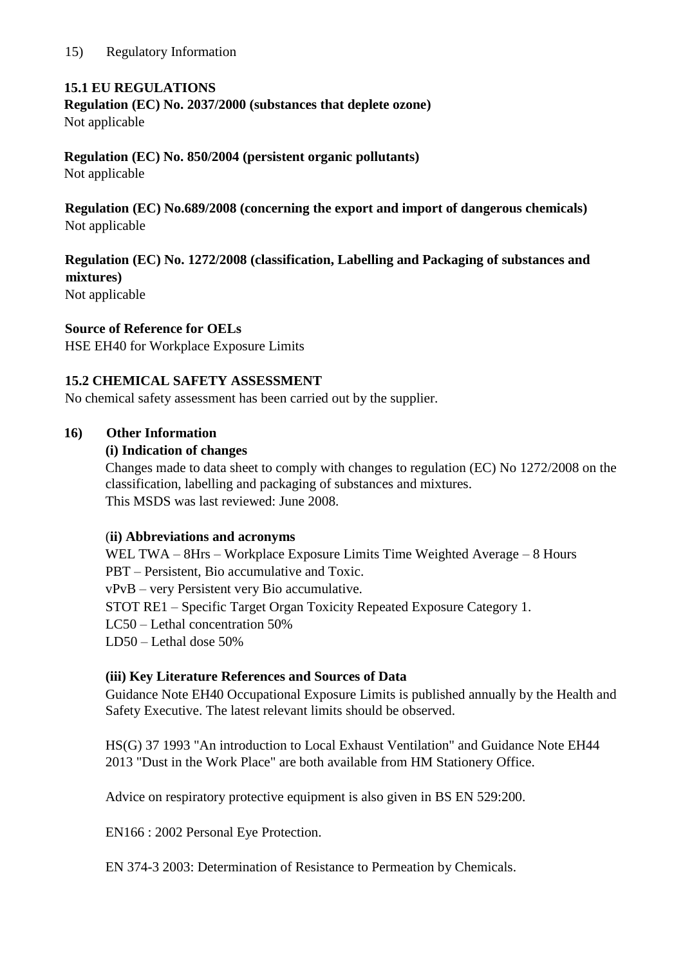#### **15.1 EU REGULATIONS**

**Regulation (EC) No. 2037/2000 (substances that deplete ozone)** Not applicable

**Regulation (EC) No. 850/2004 (persistent organic pollutants)** Not applicable

**Regulation (EC) No.689/2008 (concerning the export and import of dangerous chemicals)** Not applicable

**Regulation (EC) No. 1272/2008 (classification, Labelling and Packaging of substances and mixtures)** Not applicable

#### **Source of Reference for OELs**

HSE EH40 for Workplace Exposure Limits

#### **15.2 CHEMICAL SAFETY ASSESSMENT**

No chemical safety assessment has been carried out by the supplier.

#### **16) Other Information**

#### **(i) Indication of changes**

Changes made to data sheet to comply with changes to regulation (EC) No 1272/2008 on the classification, labelling and packaging of substances and mixtures. This MSDS was last reviewed: June 2008.

#### (**ii) Abbreviations and acronyms**

WEL TWA – 8Hrs – Workplace Exposure Limits Time Weighted Average – 8 Hours PBT – Persistent, Bio accumulative and Toxic. vPvB – very Persistent very Bio accumulative. STOT RE1 – Specific Target Organ Toxicity Repeated Exposure Category 1. LC50 – Lethal concentration 50%  $LD50 - Lethal$  dose  $50%$ 

#### **(iii) Key Literature References and Sources of Data**

Guidance Note EH40 Occupational Exposure Limits is published annually by the Health and Safety Executive. The latest relevant limits should be observed.

HS(G) 37 1993 "An introduction to Local Exhaust Ventilation" and Guidance Note EH44 2013 "Dust in the Work Place" are both available from HM Stationery Office.

Advice on respiratory protective equipment is also given in BS EN 529:200.

EN166 : 2002 Personal Eye Protection.

EN 374-3 2003: Determination of Resistance to Permeation by Chemicals.